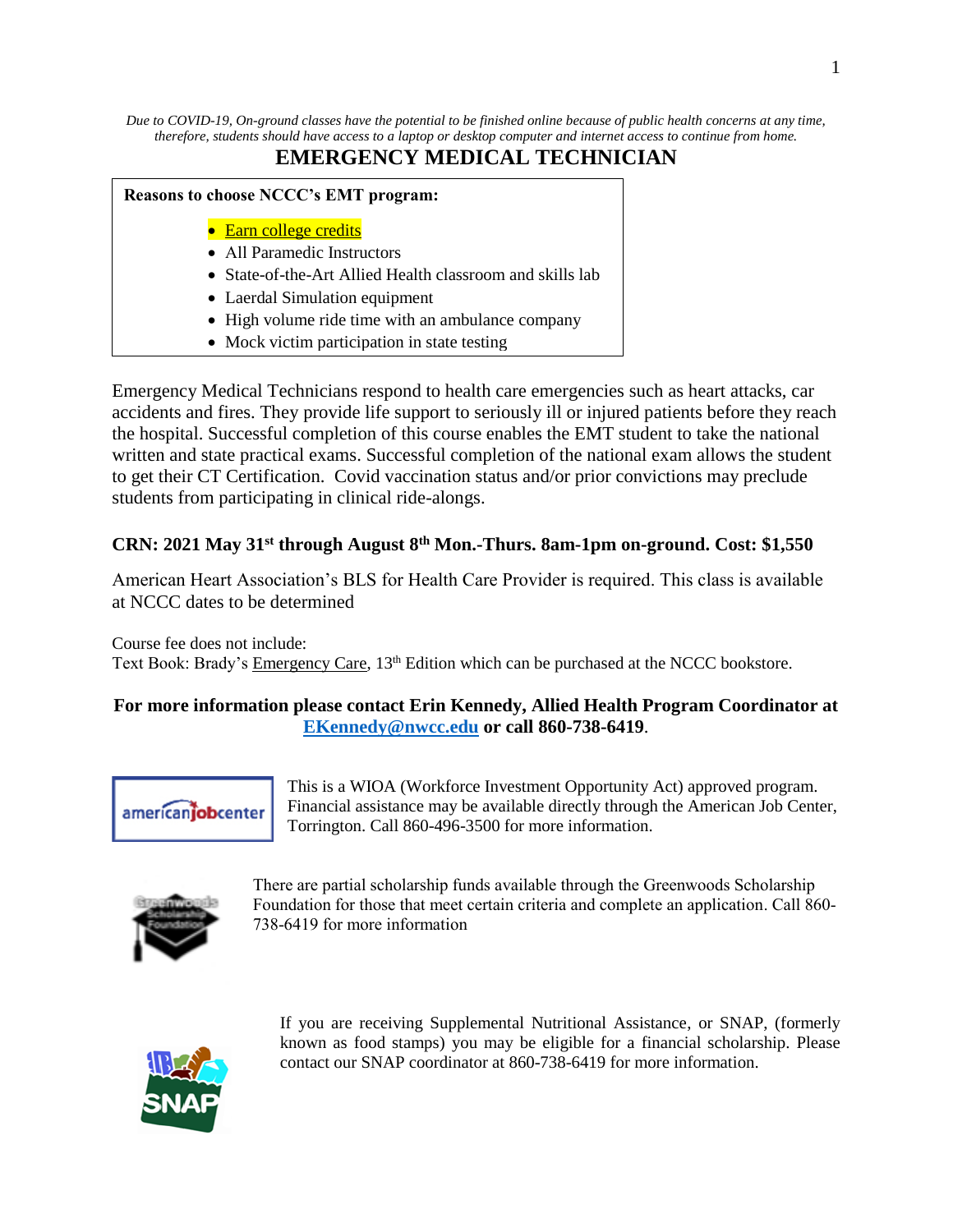*Due to COVID-19, On-ground classes have the potential to be finished online because of public health concerns at any time, therefore, students should have access to a laptop or desktop computer and internet access to continue from home.*

# **EMERGENCY MEDICAL TECHNICIAN**

# **Reasons to choose NCCC's EMT program:** • Earn college credits • All Paramedic Instructors • State-of-the-Art Allied Health classroom and skills lab

- Laerdal Simulation equipment
- High volume ride time with an ambulance company
- Mock victim participation in state testing

Emergency Medical Technicians respond to health care emergencies such as heart attacks, car accidents and fires. They provide life support to seriously ill or injured patients before they reach the hospital. Successful completion of this course enables the EMT student to take the national written and state practical exams. Successful completion of the national exam allows the student to get their CT Certification. Covid vaccination status and/or prior convictions may preclude students from participating in clinical ride-alongs.

## **CRN: 2021 May 31st through August 8th Mon.-Thurs. 8am-1pm on-ground. Cost: \$1,550**

American Heart Association's BLS for Health Care Provider is required. This class is available at NCCC dates to be determined

Course fee does not include: Text Book: Brady's Emergency Care, 13<sup>th</sup> Edition which can be purchased at the NCCC bookstore.

## **For more information please contact Erin Kennedy, Allied Health Program Coordinator at [EKennedy@nwcc.edu](mailto:EKennedy@nwcc.edu) or call 860-738-6419**.



This is a WIOA (Workforce Investment Opportunity Act) approved program. Financial assistance may be available directly through the American Job Center, Torrington. Call 860-496-3500 for more information.



There are partial scholarship funds available through the Greenwoods Scholarship Foundation for those that meet certain criteria and complete an application. Call 860- 738-6419 for more information



If you are receiving Supplemental Nutritional Assistance, or SNAP, (formerly known as food stamps) you may be eligible for a financial scholarship. Please contact our SNAP coordinator at 860-738-6419 for more information.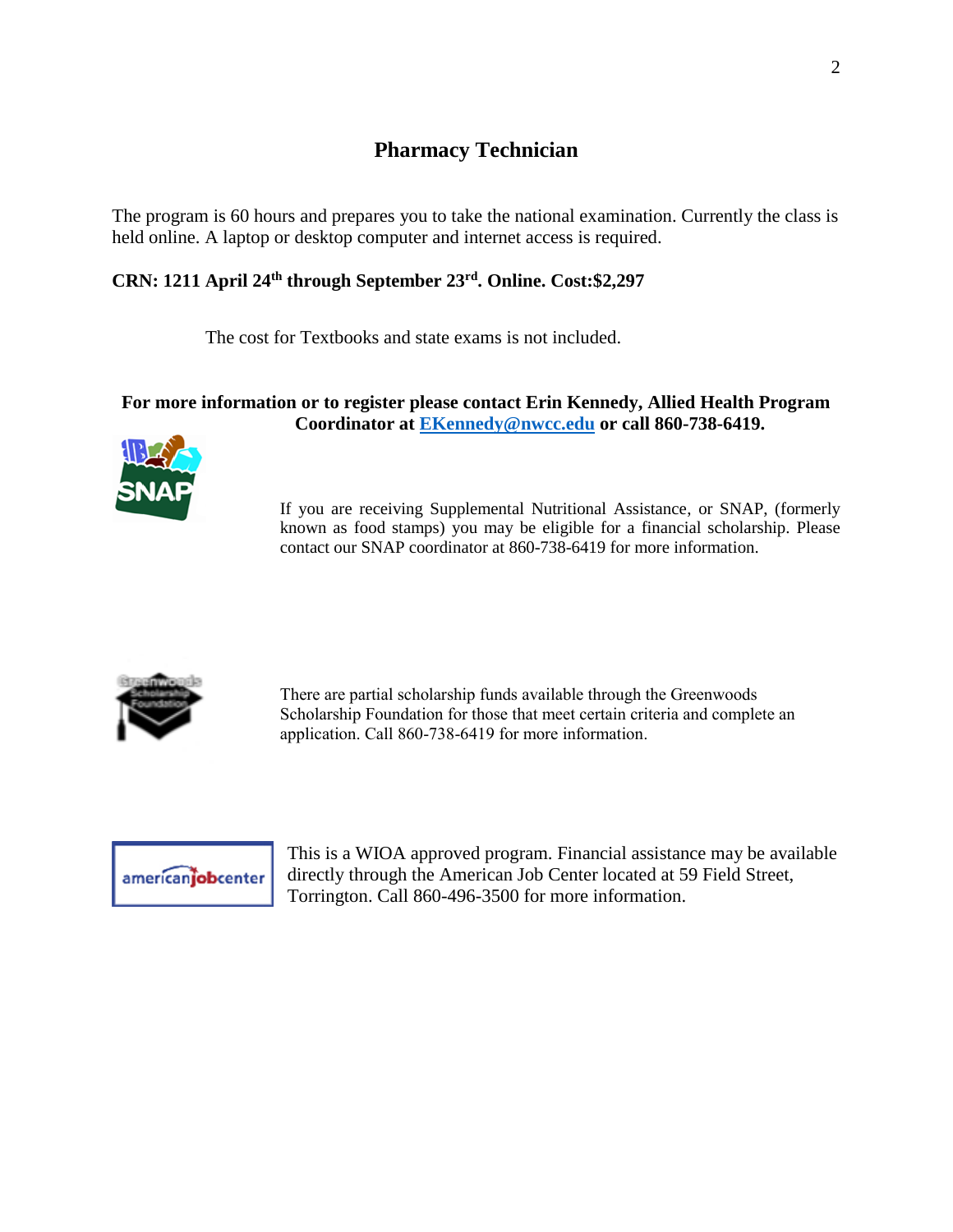# **Pharmacy Technician**

The program is 60 hours and prepares you to take the national examination. Currently the class is held online. A laptop or desktop computer and internet access is required.

## **CRN: 1211 April 24th through September 23rd. Online. Cost:\$2,297**

The cost for Textbooks and state exams is not included.

### **For more information or to register please contact Erin Kennedy, Allied Health Program Coordinator at [EKennedy@nwcc.edu](mailto:EKennedy@nwcc.edu) or call 860-738-6419.**



If you are receiving Supplemental Nutritional Assistance, or SNAP, (formerly known as food stamps) you may be eligible for a financial scholarship. Please contact our SNAP coordinator at 860-738-6419 for more information.



There are partial scholarship funds available through the Greenwoods Scholarship Foundation for those that meet certain criteria and complete an application. Call 860-738-6419 for more information.



This is a WIOA approved program. Financial assistance may be available directly through the American Job Center located at 59 Field Street, Torrington. Call 860-496-3500 for more information.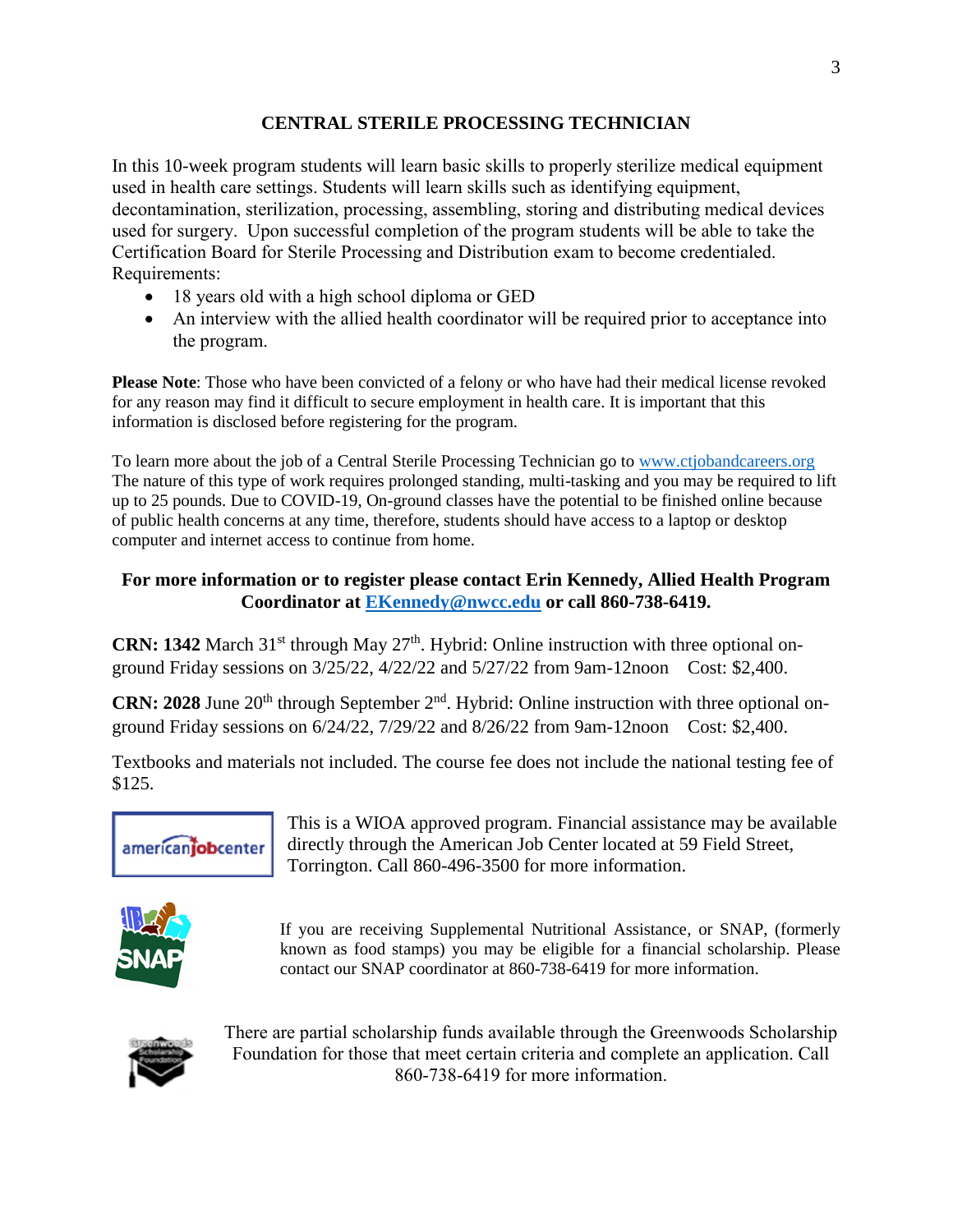## **CENTRAL STERILE PROCESSING TECHNICIAN**

In this 10-week program students will learn basic skills to properly sterilize medical equipment used in health care settings. Students will learn skills such as identifying equipment, decontamination, sterilization, processing, assembling, storing and distributing medical devices used for surgery. Upon successful completion of the program students will be able to take the Certification Board for Sterile Processing and Distribution exam to become credentialed. Requirements:

- 18 years old with a high school diploma or GED
- An interview with the allied health coordinator will be required prior to acceptance into the program.

**Please Note**: Those who have been convicted of a felony or who have had their medical license revoked for any reason may find it difficult to secure employment in health care. It is important that this information is disclosed before registering for the program.

To learn more about the job of a Central Sterile Processing Technician go to [www.ctjobandcareers.org](http://www.ctjobandcareers.org/) The nature of this type of work requires prolonged standing, multi-tasking and you may be required to lift up to 25 pounds. Due to COVID-19, On-ground classes have the potential to be finished online because of public health concerns at any time, therefore, students should have access to a laptop or desktop computer and internet access to continue from home.

## **For more information or to register please contact Erin Kennedy, Allied Health Program Coordinator at [EKennedy@nwcc.edu](mailto:EKennedy@nwcc.edu) or call 860-738-6419.**

**CRN: 1342** March 31<sup>st</sup> through May  $27<sup>th</sup>$ . Hybrid: Online instruction with three optional onground Friday sessions on 3/25/22, 4/22/22 and 5/27/22 from 9am-12noon Cost: \$2,400.

**CRN: 2028** June 20<sup>th</sup> through September  $2<sup>nd</sup>$ . Hybrid: Online instruction with three optional onground Friday sessions on 6/24/22, 7/29/22 and 8/26/22 from 9am-12noon Cost: \$2,400.

Textbooks and materials not included. The course fee does not include the national testing fee of \$125.



This is a WIOA approved program. Financial assistance may be available directly through the American Job Center located at 59 Field Street, Torrington. Call 860-496-3500 for more information.



If you are receiving Supplemental Nutritional Assistance, or SNAP, (formerly known as food stamps) you may be eligible for a financial scholarship. Please contact our SNAP coordinator at 860-738-6419 for more information.



There are partial scholarship funds available through the Greenwoods Scholarship Foundation for those that meet certain criteria and complete an application. Call 860-738-6419 for more information.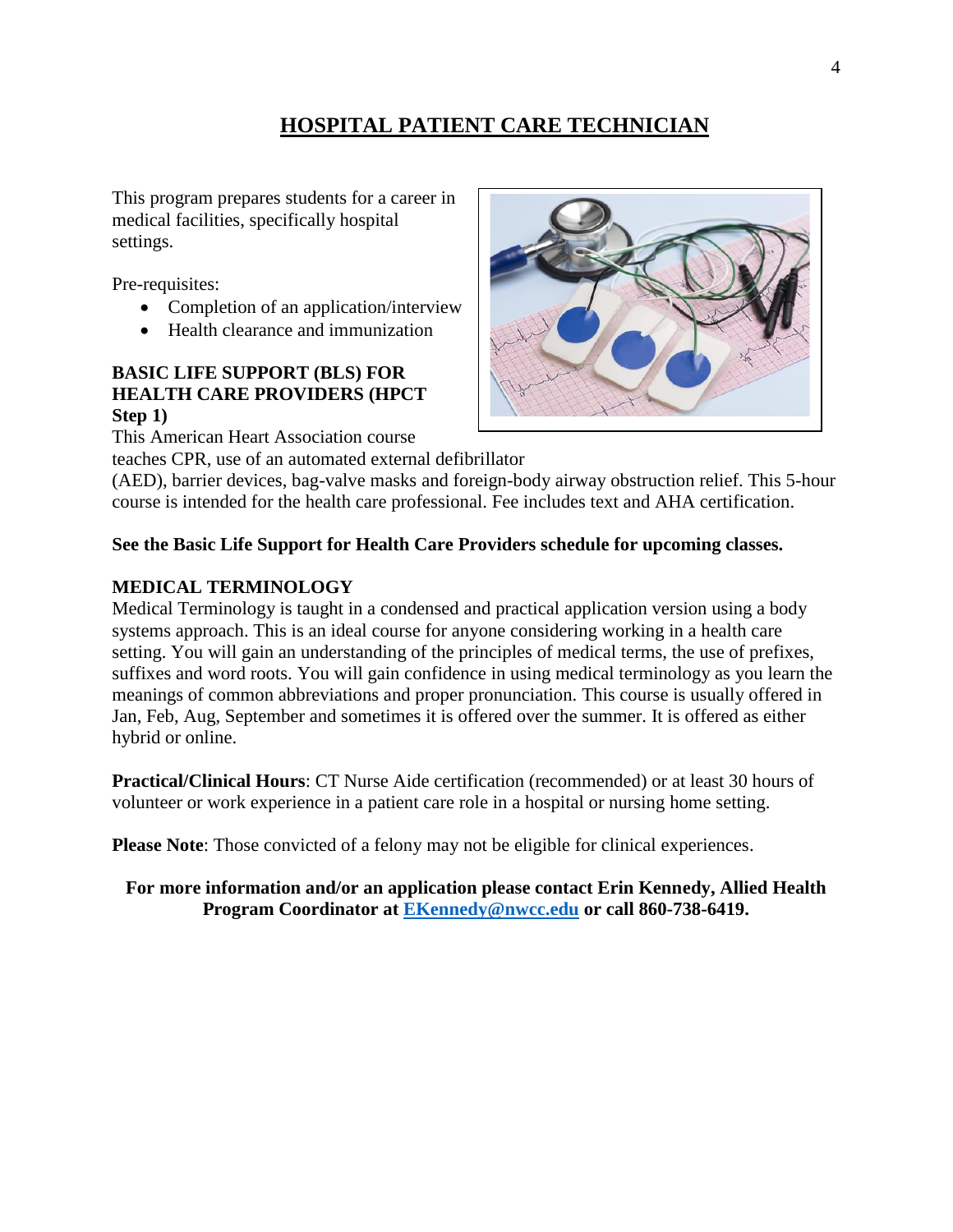# **HOSPITAL PATIENT CARE TECHNICIAN**

This program prepares students for a career in medical facilities, specifically hospital settings.

Pre-requisites:

- Completion of an application/interview
- Health clearance and immunization

#### **BASIC LIFE SUPPORT (BLS) FOR HEALTH CARE PROVIDERS (HPCT Step 1)**

This American Heart Association course

teaches CPR, use of an automated external defibrillator

(AED), barrier devices, bag-valve masks and foreign-body airway obstruction relief. This 5-hour course is intended for the health care professional. Fee includes text and AHA certification.

### **See the Basic Life Support for Health Care Providers schedule for upcoming classes.**

### **MEDICAL TERMINOLOGY**

Medical Terminology is taught in a condensed and practical application version using a body systems approach. This is an ideal course for anyone considering working in a health care setting. You will gain an understanding of the principles of medical terms, the use of prefixes, suffixes and word roots. You will gain confidence in using medical terminology as you learn the meanings of common abbreviations and proper pronunciation. This course is usually offered in Jan, Feb, Aug, September and sometimes it is offered over the summer. It is offered as either hybrid or online.

**Practical/Clinical Hours**: CT Nurse Aide certification (recommended) or at least 30 hours of volunteer or work experience in a patient care role in a hospital or nursing home setting.

**Please Note**: Those convicted of a felony may not be eligible for clinical experiences.

**For more information and/or an application please contact Erin Kennedy, Allied Health Program Coordinator at [EKennedy@nwcc.edu](mailto:EKennedy@nwcc.edu) or call 860-738-6419.**

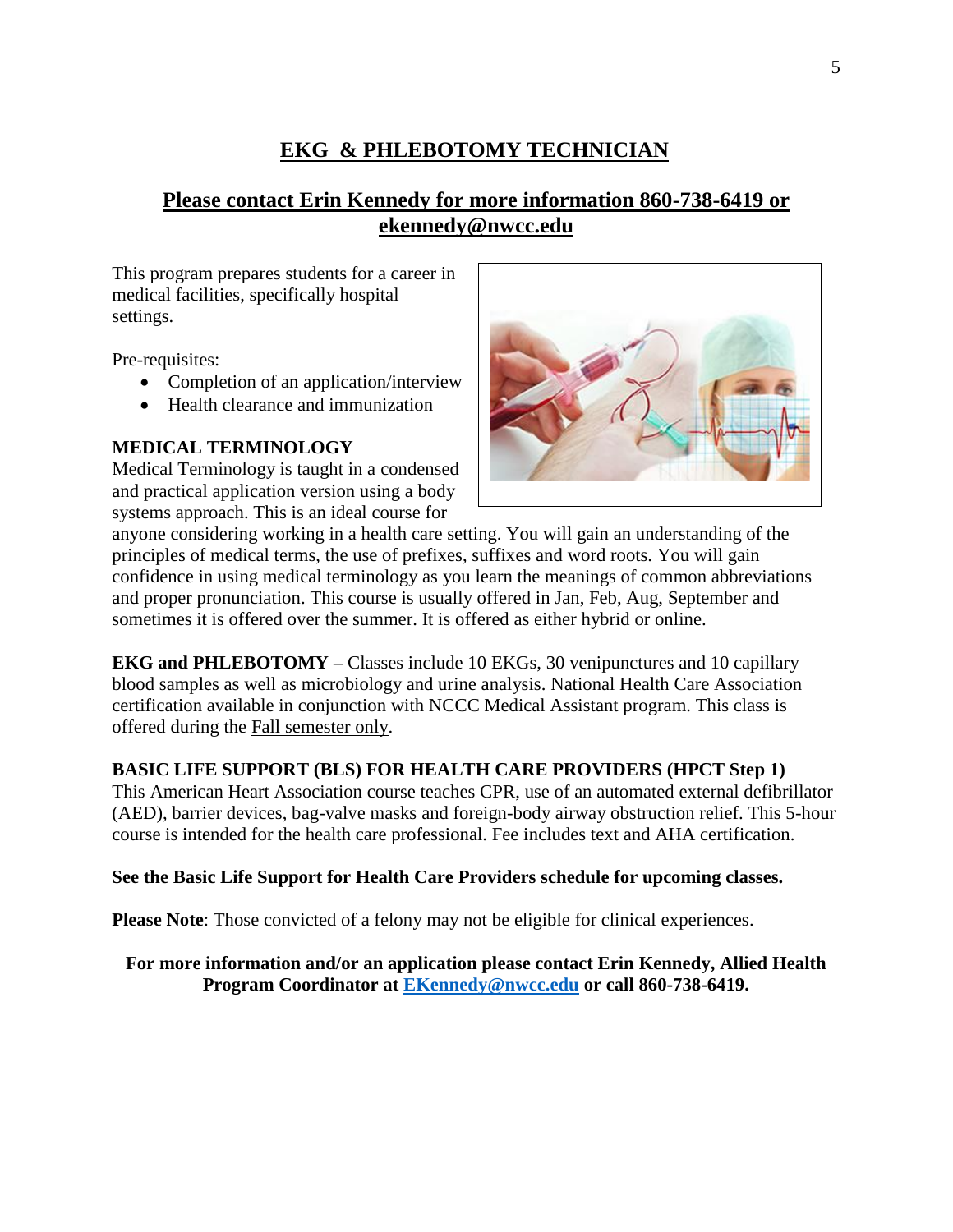# **EKG & PHLEBOTOMY TECHNICIAN**

# **Please contact Erin Kennedy for more information 860-738-6419 or ekennedy@nwcc.edu**

This program prepares students for a career in medical facilities, specifically hospital settings.

Pre-requisites:

- Completion of an application/interview
- Health clearance and immunization

### **MEDICAL TERMINOLOGY**

Medical Terminology is taught in a condensed and practical application version using a body systems approach. This is an ideal course for



anyone considering working in a health care setting. You will gain an understanding of the principles of medical terms, the use of prefixes, suffixes and word roots. You will gain confidence in using medical terminology as you learn the meanings of common abbreviations and proper pronunciation. This course is usually offered in Jan, Feb, Aug, September and sometimes it is offered over the summer. It is offered as either hybrid or online.

**EKG and PHLEBOTOMY –** Classes include 10 EKGs, 30 venipunctures and 10 capillary blood samples as well as microbiology and urine analysis. National Health Care Association certification available in conjunction with NCCC Medical Assistant program. This class is offered during the Fall semester only.

## **BASIC LIFE SUPPORT (BLS) FOR HEALTH CARE PROVIDERS (HPCT Step 1)**

This American Heart Association course teaches CPR, use of an automated external defibrillator (AED), barrier devices, bag-valve masks and foreign-body airway obstruction relief. This 5-hour course is intended for the health care professional. Fee includes text and AHA certification.

#### **See the Basic Life Support for Health Care Providers schedule for upcoming classes.**

**Please Note:** Those convicted of a felony may not be eligible for clinical experiences.

**For more information and/or an application please contact Erin Kennedy, Allied Health Program Coordinator at [EKennedy@nwcc.edu](mailto:EKennedy@nwcc.edu) or call 860-738-6419.**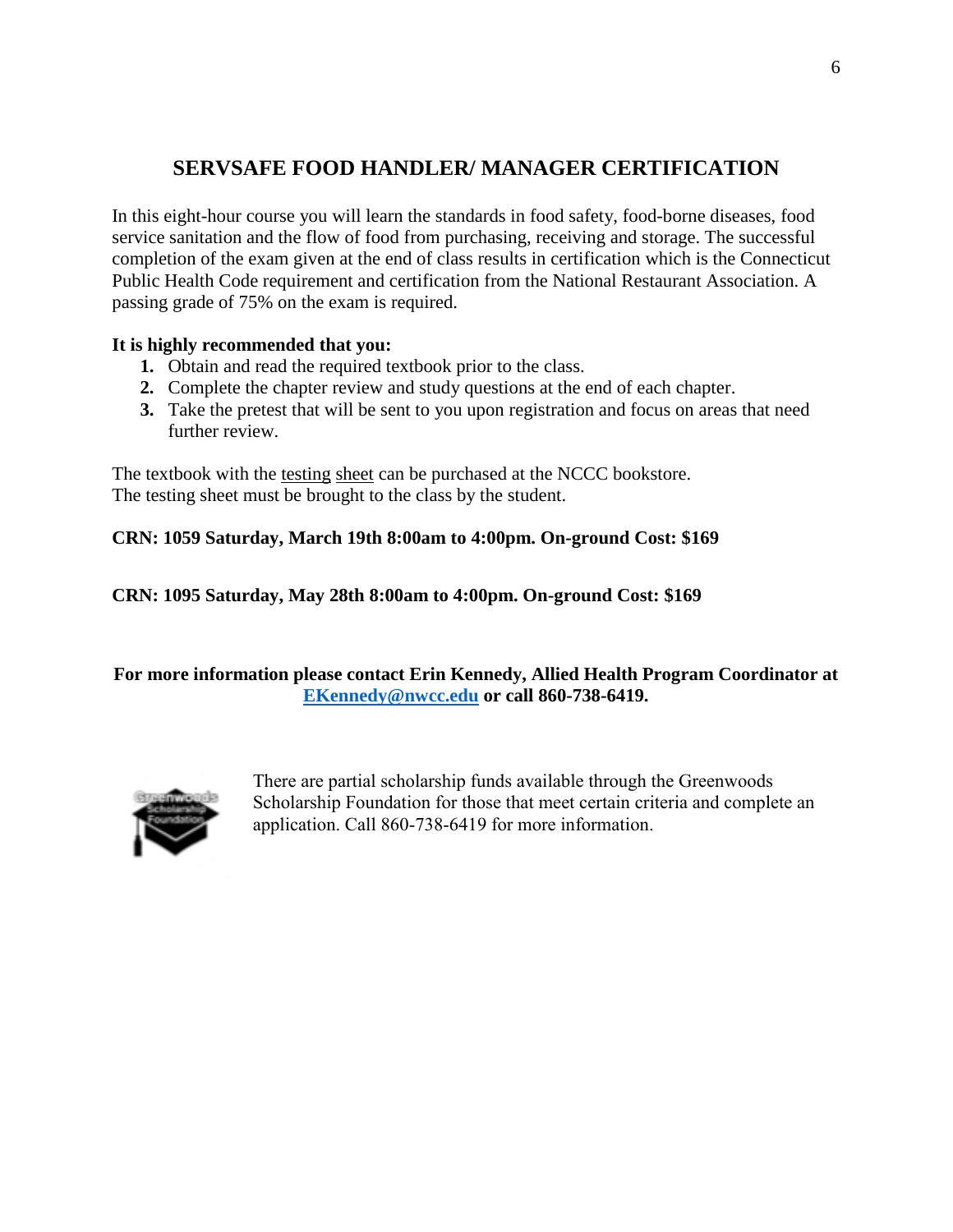# **SERVSAFE FOOD HANDLER/ MANAGER CERTIFICATION**

In this eight-hour course you will learn the standards in food safety, food-borne diseases, food service sanitation and the flow of food from purchasing, receiving and storage. The successful completion of the exam given at the end of class results in certification which is the Connecticut Public Health Code requirement and certification from the National Restaurant Association. A passing grade of 75% on the exam is required.

### **It is highly recommended that you:**

- **1.** Obtain and read the required textbook prior to the class.
- **2.** Complete the chapter review and study questions at the end of each chapter.
- **3.** Take the pretest that will be sent to you upon registration and focus on areas that need further review.

The textbook with the testing sheet can be purchased at the NCCC bookstore. The testing sheet must be brought to the class by the student.

## **CRN: 1059 Saturday, March 19th 8:00am to 4:00pm. On-ground Cost: \$169**

**CRN: 1095 Saturday, May 28th 8:00am to 4:00pm. On-ground Cost: \$169**

**For more information please contact Erin Kennedy, Allied Health Program Coordinator at [EKennedy@nwcc.edu](mailto:EKennedy@nwcc.edu) or call 860-738-6419.**



There are partial scholarship funds available through the Greenwoods Scholarship Foundation for those that meet certain criteria and complete an application. Call 860-738-6419 for more information.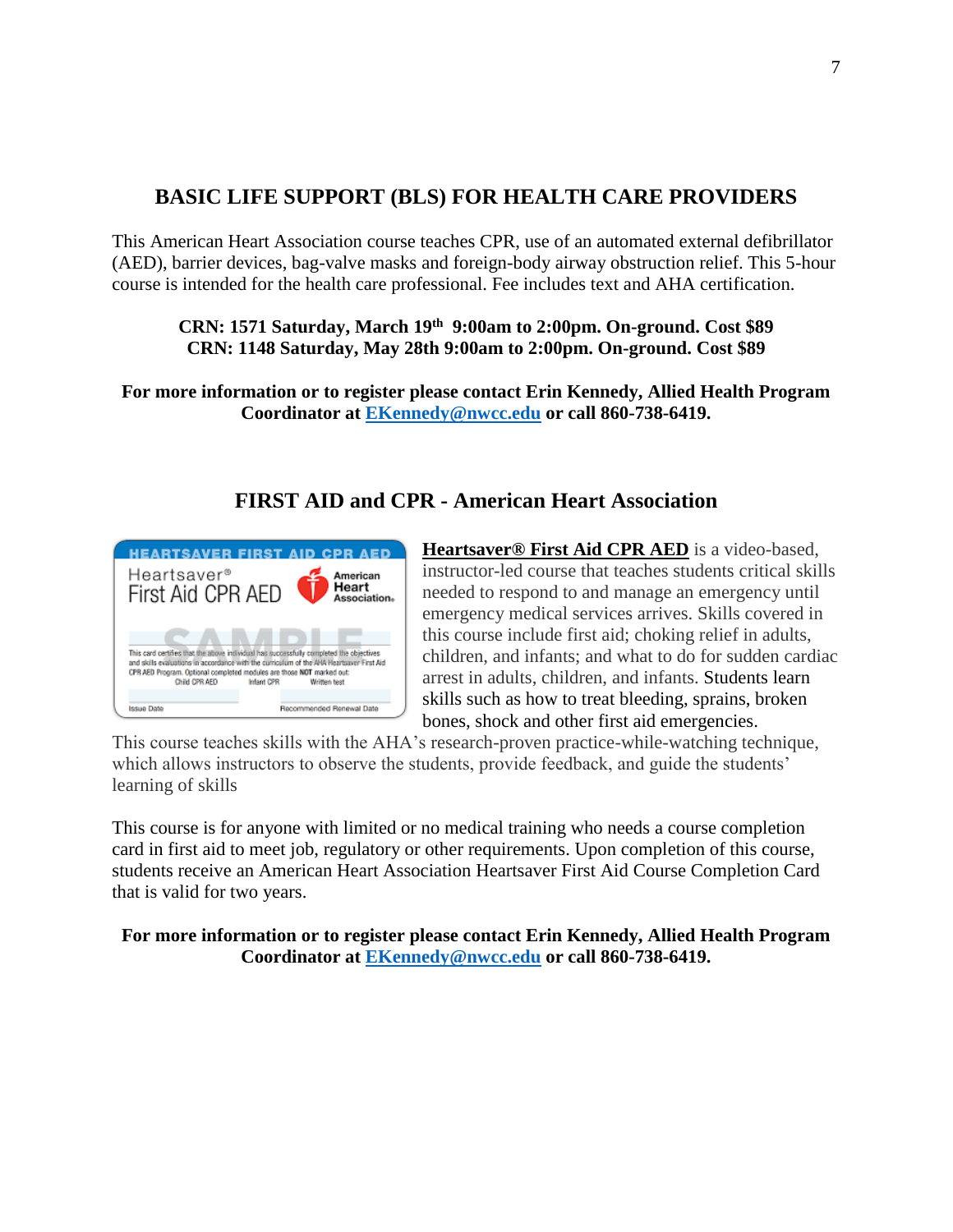# **BASIC LIFE SUPPORT (BLS) FOR HEALTH CARE PROVIDERS**

This American Heart Association course teaches CPR, use of an automated external defibrillator (AED), barrier devices, bag-valve masks and foreign-body airway obstruction relief. This 5-hour course is intended for the health care professional. Fee includes text and AHA certification.

### **CRN: 1571 Saturday, March 19th 9:00am to 2:00pm. On-ground. Cost \$89 CRN: 1148 Saturday, May 28th 9:00am to 2:00pm. On-ground. Cost \$89**

**For more information or to register please contact Erin Kennedy, Allied Health Program Coordinator at [EKennedy@nwcc.edu](mailto:EKennedy@nwcc.edu) or call 860-738-6419.**

# **FIRST AID and CPR - American Heart Association**



**[Heartsaver® First Aid CPR AED](http://cpr.heart.org/AHAECC/CPRAndECC/Training/HeartsaverCourses/HeartsaverFirstAidCPRAED/UCM_473177_Heartsaver-First-Aid-CPR-AED.jsp)** is a video-based, instructor-led course that teaches students critical skills needed to respond to and manage an emergency until emergency medical services arrives. Skills covered in this course include first aid; choking relief in adults, children, and infants; and what to do for sudden cardiac arrest in adults, children, and infants. Students learn skills such as how to treat bleeding, sprains, broken bones, shock and other first aid emergencies.

This course teaches skills with the AHA's research-proven practice-while-watching technique, which allows instructors to observe the students, provide feedback, and guide the students' learning of skills

This course is for anyone with limited or no medical training who needs a course completion card in first aid to meet job, regulatory or other requirements. Upon completion of this course, students receive an American Heart Association Heartsaver First Aid Course Completion Card that is valid for two years.

**For more information or to register please contact Erin Kennedy, Allied Health Program Coordinator at [EKennedy@nwcc.edu](mailto:EKennedy@nwcc.edu) or call 860-738-6419.**